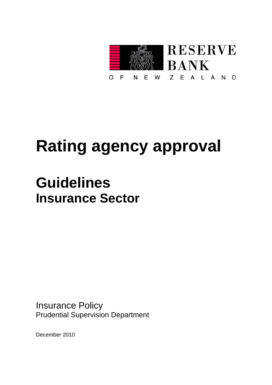

# **Rating agency approval**

# **Guidelines Insurance Sector**

Insurance Policy Prudential Supervision Department

December 2010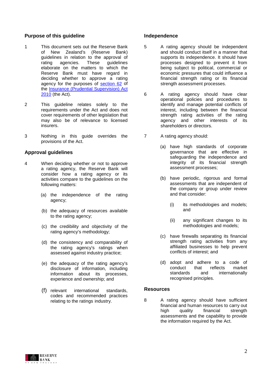# **Purpose of this guideline**

- 1 This document sets out the Reserve Bank of New Zealand's (Reserve Bank) guidelines in relation to the approval of<br>rating agencies. These quidelines guidelines elaborate on the matters to which the Reserve Bank must have regard in deciding whether to approve a rating agency for the purposes of [section 62](http://www.legislation.govt.nz/act/public/2010/0111/latest/whole.html?search=ts_act_Insurance+(Prudential+Supervision)+Act_resel&p=1%23DLM1794840) of the [Insurance \(Prudential Supervision\) Act](http://www.legislation.govt.nz/act/public/2010/0111/latest/DLM2478115.html?search=ts_act_Insurance+(Prudential+Supervision)+Act_resel&p=1&sr=1)  [2010](http://www.legislation.govt.nz/act/public/2010/0111/latest/DLM2478115.html?search=ts_act_Insurance+(Prudential+Supervision)+Act_resel&p=1&sr=1) (the Act).
- 2 This guideline relates solely to the requirements under the Act and does not cover requirements of other legislation that may also be of relevance to licensed insurers.
- 3 Nothing in this guide overrides the provisions of the Act.

# **Approval guidelines**

- 4 When deciding whether or not to approve a rating agency, the Reserve Bank will consider how a rating agency or its activities compare to the guidelines on the following matters:
	- (a) the independence of the rating agency;
	- (b) the adequacy of resources available to the rating agency;
	- (c) the credibility and objectivity of the rating agency's methodology;
	- (d) the consistency and comparability of the rating agency's ratings when assessed against industry practice;
	- (e) the adequacy of the rating agency's disclosure of information, including information about its processes, experience and ownership; and
	- (f) relevant international standards, codes and recommended practices relating to the ratings industry.

# **Independence**

- 5 A rating agency should be independent and should conduct itself in a manner that supports its independence. It should have processes designed to prevent it from being subject to political, commercial or economic pressures that could influence a financial strength rating or its financial strength assessment processes.
- 6 A rating agency should have clear operational policies and procedures to identify and manage potential conflicts of interest, including between the financial strength rating activities of the rating agency and other interests of its shareholders or directors.
- 7 A rating agency should:
	- (a) have high standards of corporate governance that are effective in safeguarding the independence and integrity of its financial strength assessment processes;
	- (b) have periodic, rigorous and formal assessments that are independent of the company or group under review and that consider:
		- (i) its methodologies and models; and
		- (ii) any significant changes to its methodologies and models;
	- (c) have firewalls separating its financial strength rating activities from any affiliated businesses to help prevent conflicts of interest; and
	- (d) adopt and adhere to a code of conduct that reflects market<br>standards and internationally and internationally recognised principles.

# **Resources**

8 A rating agency should have sufficient financial and human resources to carry out high quality financial strength assessments and the capability to provide the information required by the Act.

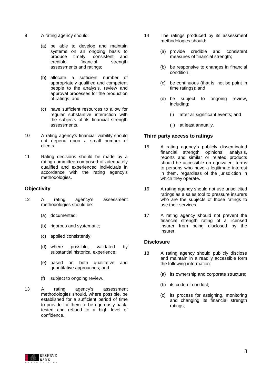- 9 A rating agency should:
	- (a) be able to develop and maintain systems on an ongoing basis to produce timely, consistent and<br>credible financial strength strength assessments and ratings;
	- (b) allocate a sufficient number of appropriately qualified and competent people to the analysis, review and approval processes for the production of ratings; and
	- (c) have sufficient resources to allow for regular substantive interaction with the subjects of its financial strength assessments.
- 10 A rating agency's financial viability should not depend upon a small number of clients.
- 11 Rating decisions should be made by a rating committee composed of adequately qualified and experienced individuals in accordance with the rating agency's methodologies.

# **Objectivity**

- 12 A rating agency's assessment methodologies should be:
	- (a) documented;
	- (b) rigorous and systematic;
	- (c) applied consistently;
	- (d) where possible, validated by substantial historical experience;
	- (e) based on both qualitative and quantitative approaches; and
	- (f) subject to ongoing review.
- 13 A rating agency's assessment methodologies should, where possible, be established for a sufficient period of time to provide for them to be rigorously backtested and refined to a high level of confidence.
- 14 The ratings produced by its assessment methodologies should:
	- (a) provide credible and consistent measures of financial strength;
	- (b) be responsive to changes in financial condition;
	- (c) be continuous (that is, not be point in time ratings); and
	- (d) be subject to ongoing review, including:
		- (i) after all significant events; and
		- (ii) at least annually.

# **Third party access to ratings**

- 15 A rating agency's publicly disseminated financial strength opinions, analysis, reports and similar or related products should be accessible on equivalent terms to persons who have a legitimate interest in them, regardless of the jurisdiction in which they operate.
- 16 A rating agency should not use unsolicited ratings as a sales tool to pressure insurers who are the subjects of those ratings to use their services.
- 17 A rating agency should not prevent the financial strength rating of a licensed insurer from being disclosed by the insurer.

# **Disclosure**

- 18 A rating agency should publicly disclose and maintain in a readily accessible form the following information:
	- (a) its ownership and corporate structure;
	- (b) its code of conduct;
	- (c) its process for assigning, monitoring and changing its financial strength ratings;

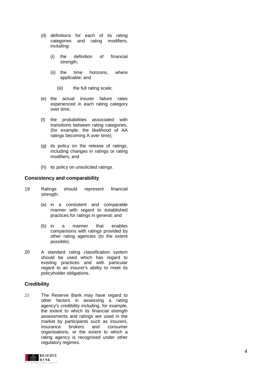- (d) definitions for each of its rating categories and rating modifiers, including:
	- (i) the definition of financial strength ;
	- (ii) the time horizons, where applicable; and
		- (iii) the full rating scale;
- (e) the actual insurer failure rates experienced in each rating category over time;
- (f) the probabilities associated with transitions between rating categories, (for example, the likelihood of AA ratings becoming A over time);
- (g) its policy on the release of ratings, including changes in ratings or rating modifiers; and
- (h) its policy on unsolicited ratings.

#### **Consistency and comparability**

- 19 Ratings should represent financial strength :
	- (a) in a consistent and comparable manner with regard to established practices for ratings in general; and
	- (b) in a manner that enables comparisons with ratings provided by other rating agencies (to the extent possible).
- 20 A standard rating classification system should be used which has regard to existing practices and with particular regard to an insurer's ability to meet its policyholder obligations .

# **Credibility**

21 The Reserve Bank may have regard to other factors in assessing a rating agency's credibility including, for example, the extent to which its financial strength assessments and ratings are used in the market by participants such as insurers, insurance brokers and consumer organisations, or the extent to which a rating agency is recognised under other regulatory regimes.